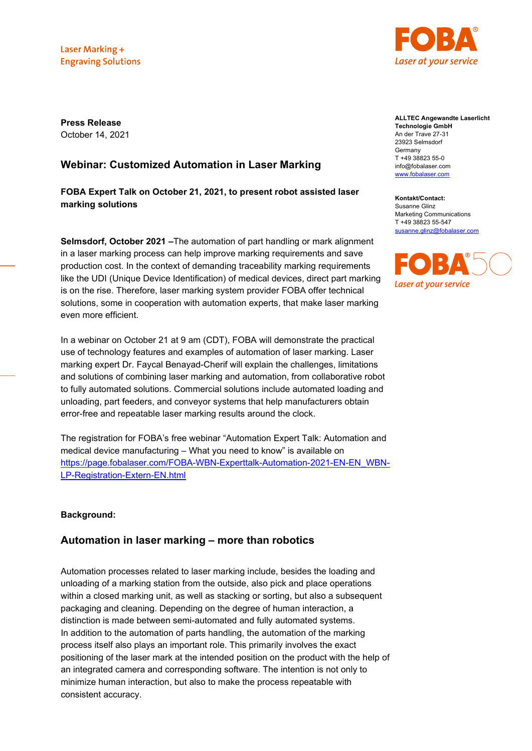Laser Marking + **Engraving Solutions** 



**Press Release** October 14, 2021

# **Webinar: Customized Automation in Laser Marking**

**FOBA Expert Talk on October 21, 2021, to present robot assisted laser marking solutions**

**Selmsdorf, October 2021 –**The automation of part handling or mark alignment in a laser marking process can help improve marking requirements and save production cost. In the context of demanding traceability marking requirements like the UDI (Unique Device Identification) of medical devices, direct part marking is on the rise. Therefore, laser marking system provider FOBA offer technical solutions, some in cooperation with automation experts, that make laser marking even more efficient.

In a webinar on October 21 at 9 am (CDT), FOBA will demonstrate the practical use of technology features and examples of automation of laser marking. Laser marking expert Dr. Faycal Benayad-Cherif will explain the challenges, limitations and solutions of combining laser marking and automation, from collaborative robot to fully automated solutions. Commercial solutions include automated loading and unloading, part feeders, and conveyor systems that help manufacturers obtain error-free and repeatable laser marking results around the clock.

The registration for FOBA's free webinar "Automation Expert Talk: Automation and medical device manufacturing – What you need to know" is available on [https://page.fobalaser.com/FOBA-WBN-Experttalk-Automation-2021-EN-EN\\_WBN-](https://page.fobalaser.com/FOBA-WBN-Experttalk-Automation-2021-EN-EN_WBN-LP-Registration-Extern-EN.html)[LP-Registration-Extern-EN.html](https://page.fobalaser.com/FOBA-WBN-Experttalk-Automation-2021-EN-EN_WBN-LP-Registration-Extern-EN.html)

### **Background:**

# **Automation in laser marking – more than robotics**

Automation processes related to laser marking include, besides the loading and unloading of a marking station from the outside, also pick and place operations within a closed marking unit, as well as stacking or sorting, but also a subsequent packaging and cleaning. Depending on the degree of human interaction, a distinction is made between semi-automated and fully automated systems. In addition to the automation of parts handling, the automation of the marking process itself also plays an important role. This primarily involves the exact positioning of the laser mark at the intended position on the product with the help of an integrated camera and corresponding software. The intention is not only to minimize human interaction, but also to make the process repeatable with consistent accuracy.

**ALLTEC Angewandte Laserlicht Technologie GmbH** An der Trave 27-31 23923 Selmsdorf Germany T +49 38823 55-0 info@fobalaser.com [www.fobalaser.com](http://www.fobalaser.com/)

**Kontakt/Contact:** Susanne Glinz Marketing Communications T +49 38823 55-547 [susanne.glinz@fobalaser.com](mailto:susanne.glinz@fobalaser.com)

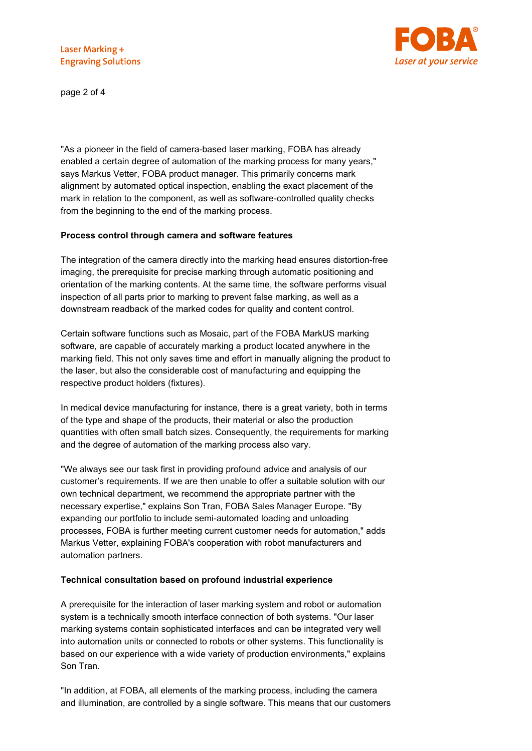

page 2 of 4

"As a pioneer in the field of camera-based laser marking, FOBA has already enabled a certain degree of automation of the marking process for many years," says Markus Vetter, FOBA product manager. This primarily concerns mark alignment by automated optical inspection, enabling the exact placement of the mark in relation to the component, as well as software-controlled quality checks from the beginning to the end of the marking process.

### **Process control through camera and software features**

The integration of the camera directly into the marking head ensures distortion-free imaging, the prerequisite for precise marking through automatic positioning and orientation of the marking contents. At the same time, the software performs visual inspection of all parts prior to marking to prevent false marking, as well as a downstream readback of the marked codes for quality and content control.

Certain software functions such as Mosaic, part of the FOBA MarkUS marking software, are capable of accurately marking a product located anywhere in the marking field. This not only saves time and effort in manually aligning the product to the laser, but also the considerable cost of manufacturing and equipping the respective product holders (fixtures).

In medical device manufacturing for instance, there is a great variety, both in terms of the type and shape of the products, their material or also the production quantities with often small batch sizes. Consequently, the requirements for marking and the degree of automation of the marking process also vary.

"We always see our task first in providing profound advice and analysis of our customer's requirements. If we are then unable to offer a suitable solution with our own technical department, we recommend the appropriate partner with the necessary expertise," explains Son Tran, FOBA Sales Manager Europe. "By expanding our portfolio to include semi-automated loading and unloading processes, FOBA is further meeting current customer needs for automation," adds Markus Vetter, explaining FOBA's cooperation with robot manufacturers and automation partners.

# **Technical consultation based on profound industrial experience**

A prerequisite for the interaction of laser marking system and robot or automation system is a technically smooth interface connection of both systems. "Our laser marking systems contain sophisticated interfaces and can be integrated very well into automation units or connected to robots or other systems. This functionality is based on our experience with a wide variety of production environments," explains Son Tran.

"In addition, at FOBA, all elements of the marking process, including the camera and illumination, are controlled by a single software. This means that our customers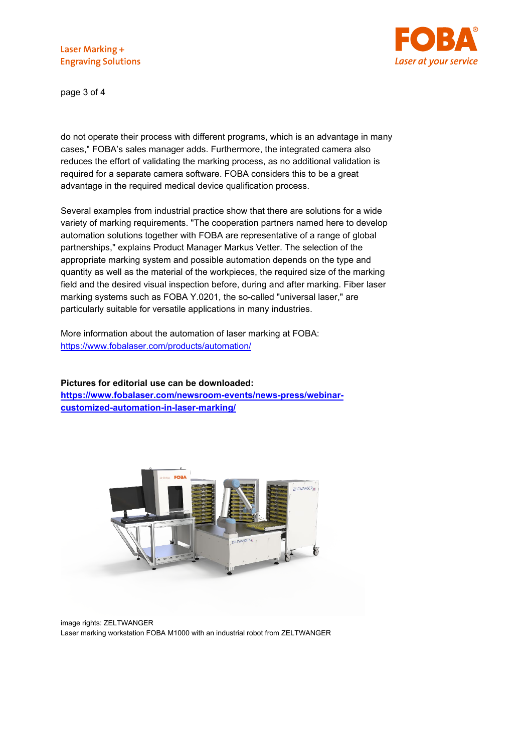

page 3 of 4

do not operate their process with different programs, which is an advantage in many cases," FOBA's sales manager adds. Furthermore, the integrated camera also reduces the effort of validating the marking process, as no additional validation is required for a separate camera software. FOBA considers this to be a great advantage in the required medical device qualification process.

Several examples from industrial practice show that there are solutions for a wide variety of marking requirements. "The cooperation partners named here to develop automation solutions together with FOBA are representative of a range of global partnerships," explains Product Manager Markus Vetter. The selection of the appropriate marking system and possible automation depends on the type and quantity as well as the material of the workpieces, the required size of the marking field and the desired visual inspection before, during and after marking. Fiber laser marking systems such as FOBA Y.0201, the so-called "universal laser," are particularly suitable for versatile applications in many industries.

More information about the automation of laser marking at FOBA: <https://www.fobalaser.com/products/automation/>

**Pictures for editorial use can be downloaded:** 

**[https://www.fobalaser.com/newsroom-events/news-press/webinar](https://www.fobalaser.com/newsroom-events/news-press/webinar-customized-automation-in-laser-marking/)[customized-automation-in-laser-marking/](https://www.fobalaser.com/newsroom-events/news-press/webinar-customized-automation-in-laser-marking/)**



image rights: ZELTWANGER Laser marking workstation FOBA M1000 with an industrial robot from ZELTWANGER